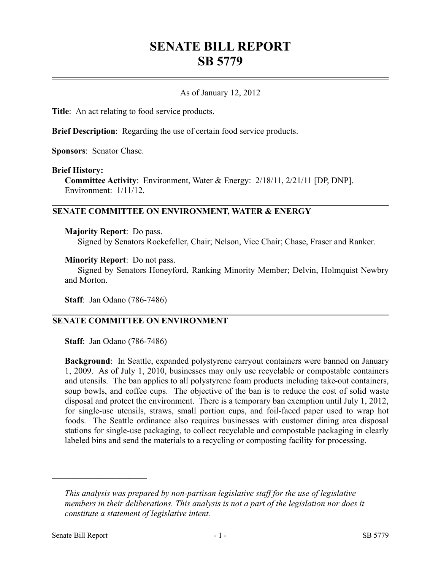# **SENATE BILL REPORT SB 5779**

## As of January 12, 2012

**Title**: An act relating to food service products.

**Brief Description**: Regarding the use of certain food service products.

**Sponsors**: Senator Chase.

#### **Brief History:**

**Committee Activity**: Environment, Water & Energy: 2/18/11, 2/21/11 [DP, DNP]. Environment: 1/11/12.

#### **SENATE COMMITTEE ON ENVIRONMENT, WATER & ENERGY**

#### **Majority Report**: Do pass.

Signed by Senators Rockefeller, Chair; Nelson, Vice Chair; Chase, Fraser and Ranker.

#### **Minority Report**: Do not pass.

Signed by Senators Honeyford, Ranking Minority Member; Delvin, Holmquist Newbry and Morton.

**Staff**: Jan Odano (786-7486)

# **SENATE COMMITTEE ON ENVIRONMENT**

**Staff**: Jan Odano (786-7486)

**Background**: In Seattle, expanded polystyrene carryout containers were banned on January 1, 2009. As of July 1, 2010, businesses may only use recyclable or compostable containers and utensils. The ban applies to all polystyrene foam products including take-out containers, soup bowls, and coffee cups. The objective of the ban is to reduce the cost of solid waste disposal and protect the environment. There is a temporary ban exemption until July 1, 2012, for single-use utensils, straws, small portion cups, and foil-faced paper used to wrap hot foods. The Seattle ordinance also requires businesses with customer dining area disposal stations for single-use packaging, to collect recyclable and compostable packaging in clearly labeled bins and send the materials to a recycling or composting facility for processing.

––––––––––––––––––––––

*This analysis was prepared by non-partisan legislative staff for the use of legislative members in their deliberations. This analysis is not a part of the legislation nor does it constitute a statement of legislative intent.*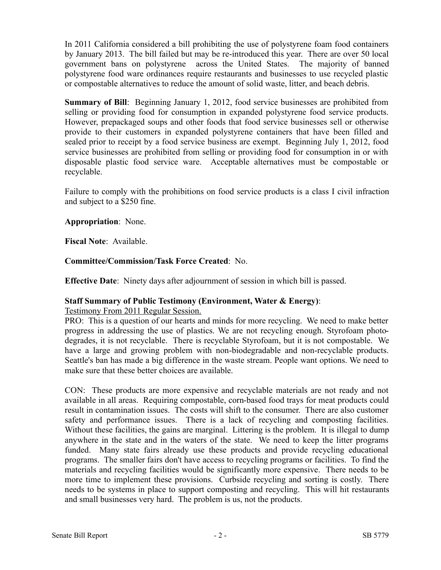In 2011 California considered a bill prohibiting the use of polystyrene foam food containers by January 2013. The bill failed but may be re-introduced this year. There are over 50 local government bans on polystyrene across the United States. The majority of banned polystyrene food ware ordinances require restaurants and businesses to use recycled plastic or compostable alternatives to reduce the amount of solid waste, litter, and beach debris.

**Summary of Bill**: Beginning January 1, 2012, food service businesses are prohibited from selling or providing food for consumption in expanded polystyrene food service products. However, prepackaged soups and other foods that food service businesses sell or otherwise provide to their customers in expanded polystyrene containers that have been filled and sealed prior to receipt by a food service business are exempt. Beginning July 1, 2012, food service businesses are prohibited from selling or providing food for consumption in or with disposable plastic food service ware. Acceptable alternatives must be compostable or recyclable.

Failure to comply with the prohibitions on food service products is a class I civil infraction and subject to a \$250 fine.

**Appropriation**: None.

**Fiscal Note**: Available.

**Committee/Commission/Task Force Created**: No.

**Effective Date**: Ninety days after adjournment of session in which bill is passed.

## **Staff Summary of Public Testimony (Environment, Water & Energy)**:

Testimony From 2011 Regular Session.

PRO: This is a question of our hearts and minds for more recycling. We need to make better progress in addressing the use of plastics. We are not recycling enough. Styrofoam photodegrades, it is not recyclable. There is recyclable Styrofoam, but it is not compostable. We have a large and growing problem with non-biodegradable and non-recyclable products. Seattle's ban has made a big difference in the waste stream. People want options. We need to make sure that these better choices are available.

CON: These products are more expensive and recyclable materials are not ready and not available in all areas. Requiring compostable, corn-based food trays for meat products could result in contamination issues. The costs will shift to the consumer. There are also customer safety and performance issues. There is a lack of recycling and composting facilities. Without these facilities, the gains are marginal. Littering is the problem. It is illegal to dump anywhere in the state and in the waters of the state. We need to keep the litter programs funded. Many state fairs already use these products and provide recycling educational programs. The smaller fairs don't have access to recycling programs or facilities. To find the materials and recycling facilities would be significantly more expensive. There needs to be more time to implement these provisions. Curbside recycling and sorting is costly. There needs to be systems in place to support composting and recycling. This will hit restaurants and small businesses very hard. The problem is us, not the products.